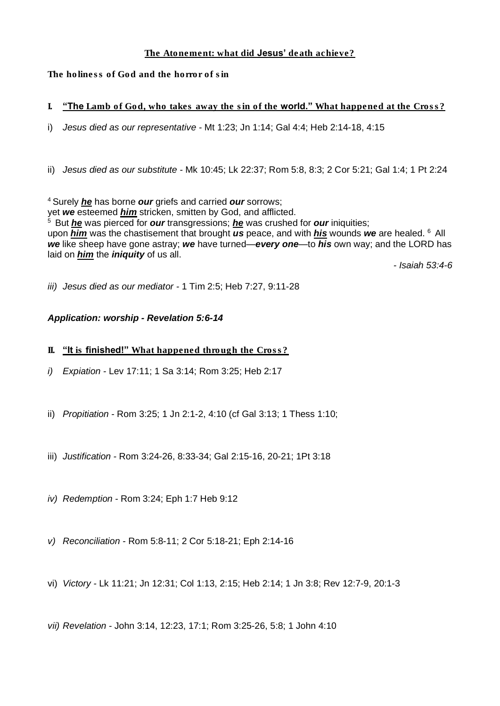## The Atonement: what did **Jesus'** death achieve?

The holiness of God and the horror of sin

- I. **"The** Lamb of God, who takes away the sin of the **world."** What happened at the Cross?
- *i) Jesus died as our representative - Mt 1:23; Jn 1:14; Gal 4:4; Heb 2:14-18, 4:15*
- ii) Jesus died as our substitute Mk 10:45; Lk 22:37; Rom 5:8, 8:3; 2 Cor 5:21; Gal 1:4; 1 Pt 2:24

*<sup>4</sup> Surely he has borne our griefs and carried our sorrows; yet we esteemed him stricken, smitten by God, and afflicted. <sup>5</sup> But he was pierced for our transgressions; he was crushed for our iniquities; upon him was the chastisement that brought us peace, and with his wounds we are healed. <sup>6</sup> All we like sheep have gone astray; we have turned—every one—to his own way; and the LORD has laid on him the iniquity of us all.*

*- Isaiah 53:4-6*

*iii) Jesus died as our mediator - 1 Tim 2:5; Heb 7:27, 9:11-28*

*Application: worship - Revelation 5:6-14*

- II. "It is finished!" What happened through the Cross?
- *i) Expiation - Lev 17:11; 1 Sa 3:14; Rom 3:25; Heb 2:17*
- *ii) Propitiation - Rom 3:25; 1 Jn 2:1-2, 4:10 (cf Gal 3:13; 1 Thess 1:10;*
- *iii) Justification - Rom 3:24-26, 8:33-34; Gal 2:15-16, 20-21; 1Pt 3:18*
- *iv) Redemption - Rom 3:24; Eph 1:7 Heb 9:12*
- *v) Reconciliation - Rom 5:8-11; 2 Cor 5:18-21; Eph 2:14-16*
- *vi) Victory - Lk 11:21; Jn 12:31; Col 1:13, 2:15; Heb 2:14; 1 Jn 3:8; Rev 12:7-9, 20:1-3*
- *vii) Revelation - John 3:14, 12:23, 17:1; Rom 3:25-26, 5:8; 1 John 4:10*